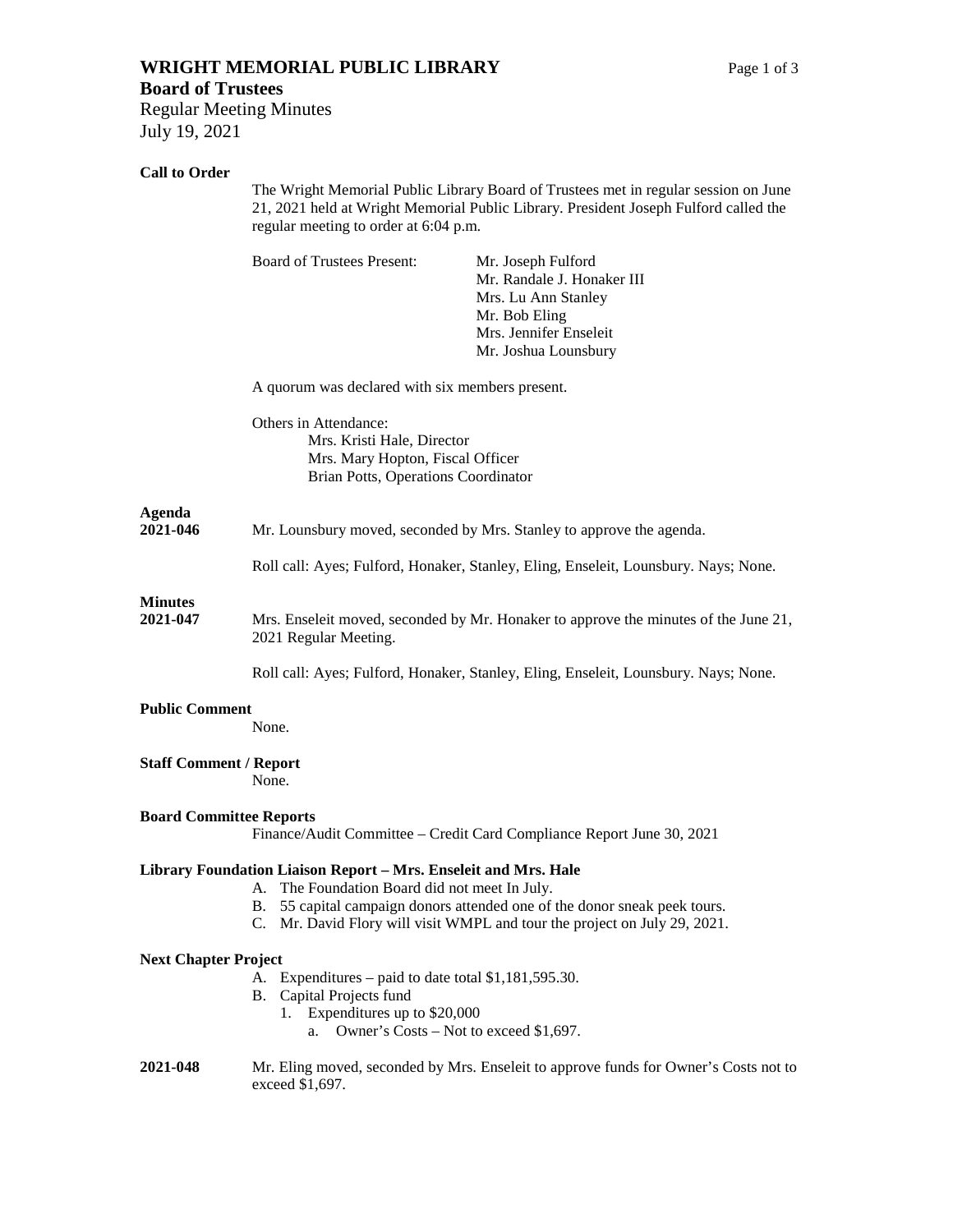# **WRIGHT MEMORIAL PUBLIC LIBRARY** Page 1 of 3

## **Board of Trustees**

Regular Meeting Minutes July 19, 2021

## **Call to Order**

|                                                                                                         | The Wright Memorial Public Library Board of Trustees met in regular session on June<br>21, 2021 held at Wright Memorial Public Library. President Joseph Fulford called the<br>regular meeting to order at 6:04 p.m. |                                                                                                                                                     |
|---------------------------------------------------------------------------------------------------------|----------------------------------------------------------------------------------------------------------------------------------------------------------------------------------------------------------------------|-----------------------------------------------------------------------------------------------------------------------------------------------------|
|                                                                                                         | <b>Board of Trustees Present:</b>                                                                                                                                                                                    | Mr. Joseph Fulford<br>Mr. Randale J. Honaker III<br>Mrs. Lu Ann Stanley<br>Mr. Bob Eling<br>Mrs. Jennifer Enseleit<br>Mr. Joshua Lounsbury          |
|                                                                                                         | A quorum was declared with six members present.                                                                                                                                                                      |                                                                                                                                                     |
|                                                                                                         | Others in Attendance:<br>Mrs. Kristi Hale, Director<br>Mrs. Mary Hopton, Fiscal Officer<br>Brian Potts, Operations Coordinator                                                                                       |                                                                                                                                                     |
| <b>Agenda</b><br>2021-046                                                                               | Mr. Lounsbury moved, seconded by Mrs. Stanley to approve the agenda.                                                                                                                                                 |                                                                                                                                                     |
|                                                                                                         |                                                                                                                                                                                                                      | Roll call: Ayes; Fulford, Honaker, Stanley, Eling, Enseleit, Lounsbury. Nays; None.                                                                 |
| <b>Minutes</b><br>2021-047                                                                              | Mrs. Enseleit moved, seconded by Mr. Honaker to approve the minutes of the June 21,<br>2021 Regular Meeting.                                                                                                         |                                                                                                                                                     |
|                                                                                                         |                                                                                                                                                                                                                      | Roll call: Ayes; Fulford, Honaker, Stanley, Eling, Enseleit, Lounsbury. Nays; None.                                                                 |
| <b>Public Comment</b><br>None.                                                                          |                                                                                                                                                                                                                      |                                                                                                                                                     |
| <b>Staff Comment / Report</b><br>None.                                                                  |                                                                                                                                                                                                                      |                                                                                                                                                     |
| <b>Board Committee Reports</b><br>Finance/Audit Committee – Credit Card Compliance Report June 30, 2021 |                                                                                                                                                                                                                      |                                                                                                                                                     |
|                                                                                                         | Library Foundation Liaison Report - Mrs. Enseleit and Mrs. Hale<br>A. The Foundation Board did not meet In July.<br>В.                                                                                               | 55 capital campaign donors attended one of the donor sneak peek tours.<br>C. Mr. David Flory will visit WMPL and tour the project on July 29, 2021. |
| <b>Next Chapter Project</b>                                                                             |                                                                                                                                                                                                                      |                                                                                                                                                     |
|                                                                                                         | Expenditures – paid to date total $$1,181,595.30$ .<br>А.<br>B. Capital Projects fund<br>1. Expenditures up to \$20,000<br>Owner's Costs – Not to exceed \$1,697.<br>a.                                              |                                                                                                                                                     |
| 2021-048                                                                                                | Mr. Eling moved, seconded by Mrs. Enseleit to approve funds for Owner's Costs not to<br>exceed \$1,697.                                                                                                              |                                                                                                                                                     |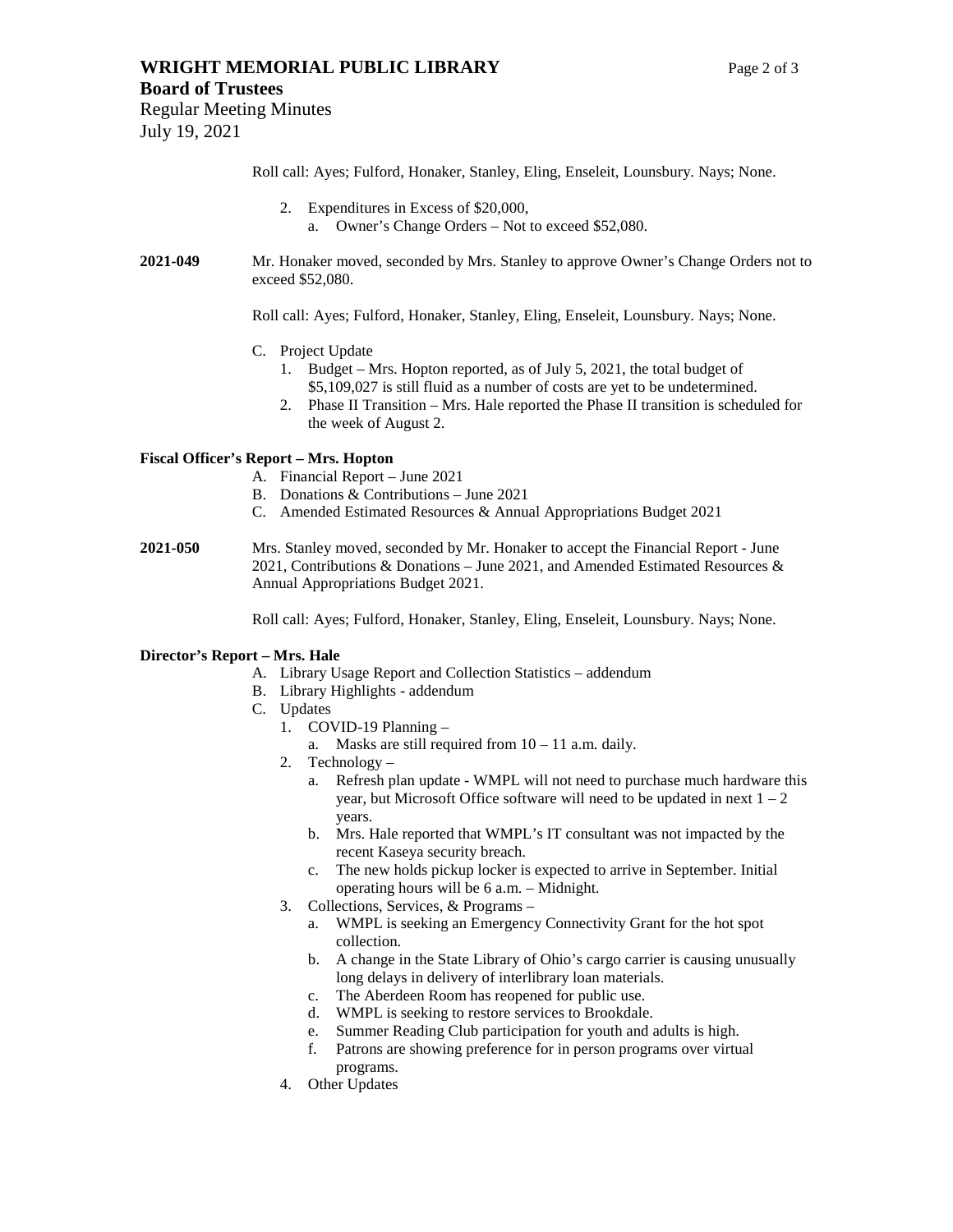### **WRIGHT MEMORIAL PUBLIC LIBRARY** Page 2 of 3

Regular Meeting Minutes July 19, 2021

Roll call: Ayes; Fulford, Honaker, Stanley, Eling, Enseleit, Lounsbury. Nays; None.

- 2. Expenditures in Excess of \$20,000, a. Owner's Change Orders – Not to exceed \$52,080.
- **2021-049** Mr. Honaker moved, seconded by Mrs. Stanley to approve Owner's Change Orders not to exceed \$52,080.

Roll call: Ayes; Fulford, Honaker, Stanley, Eling, Enseleit, Lounsbury. Nays; None.

- C. Project Update
	- 1. Budget Mrs. Hopton reported, as of July 5, 2021, the total budget of \$5,109,027 is still fluid as a number of costs are yet to be undetermined.
	- 2. Phase II Transition Mrs. Hale reported the Phase II transition is scheduled for the week of August 2.

#### **Fiscal Officer's Report – Mrs. Hopton**

- A. Financial Report June 2021
- B. Donations & Contributions June 2021
- C. Amended Estimated Resources & Annual Appropriations Budget 2021
- **2021-050** Mrs. Stanley moved, seconded by Mr. Honaker to accept the Financial Report June 2021, Contributions & Donations – June 2021, and Amended Estimated Resources & Annual Appropriations Budget 2021.

Roll call: Ayes; Fulford, Honaker, Stanley, Eling, Enseleit, Lounsbury. Nays; None.

#### **Director's Report – Mrs. Hale**

- A. Library Usage Report and Collection Statistics addendum
- B. Library Highlights addendum
- C. Updates
	- 1. COVID-19 Planning
		- a. Masks are still required from  $10 11$  a.m. daily.
	- 2. Technology
		- a. Refresh plan update WMPL will not need to purchase much hardware this year, but Microsoft Office software will need to be updated in next  $1 - 2$ years.
		- b. Mrs. Hale reported that WMPL's IT consultant was not impacted by the recent Kaseya security breach.
		- c. The new holds pickup locker is expected to arrive in September. Initial operating hours will be 6 a.m. – Midnight.
	- 3. Collections, Services, & Programs
		- a. WMPL is seeking an Emergency Connectivity Grant for the hot spot collection.
		- b. A change in the State Library of Ohio's cargo carrier is causing unusually long delays in delivery of interlibrary loan materials.
		- c. The Aberdeen Room has reopened for public use.
		- d. WMPL is seeking to restore services to Brookdale.
		- e. Summer Reading Club participation for youth and adults is high.
		- f. Patrons are showing preference for in person programs over virtual programs.
	- 4. Other Updates